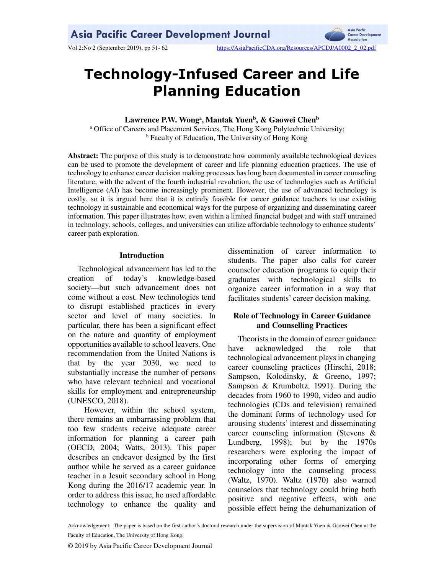

Vol 2:No 2 (September 2019), pp 51-62 https://AsiaPacificCDA.org/Resources/APCDJ/A0002\_2\_02.pdf

# **Technology-Infused Career and Life Planning Education**

# **Lawrence P.W. Wong<sup>a</sup> , Mantak Yuen<sup>b</sup> , & Gaowei Chen<sup>b</sup>**

<sup>a</sup> Office of Careers and Placement Services, The Hong Kong Polytechnic University; <sup>b</sup> Faculty of Education, The University of Hong Kong

**Abstract:** The purpose of this study is to demonstrate how commonly available technological devices can be used to promote the development of career and life planning education practices. The use of technology to enhance career decision making processes has long been documented in career counseling literature; with the advent of the fourth industrial revolution, the use of technologies such as Artificial Intelligence (AI) has become increasingly prominent. However, the use of advanced technology is costly, so it is argued here that it is entirely feasible for career guidance teachers to use existing technology in sustainable and economical ways for the purpose of organizing and disseminating career information. This paper illustrates how, even within a limited financial budget and with staff untrained in technology, schools, colleges, and universities can utilize affordable technology to enhance students' career path exploration.

# **Introduction**

Technological advancement has led to the creation of today's knowledge-based society—but such advancement does not come without a cost. New technologies tend to disrupt established practices in every sector and level of many societies. In particular, there has been a significant effect on the nature and quantity of employment opportunities available to school leavers. One recommendation from the United Nations is that by the year 2030, we need to substantially increase the number of persons who have relevant technical and vocational skills for employment and entrepreneurship (UNESCO, 2018).

However, within the school system, there remains an embarrassing problem that too few students receive adequate career information for planning a career path (OECD, 2004; Watts, 2013). This paper describes an endeavor designed by the first author while he served as a career guidance teacher in a Jesuit secondary school in Hong Kong during the 2016/17 academic year. In order to address this issue, he used affordable technology to enhance the quality and dissemination of career information to students. The paper also calls for career counselor education programs to equip their graduates with technological skills to organize career information in a way that facilitates students' career decision making.

# **Role of Technology in Career Guidance and Counselling Practices**

Theorists in the domain of career guidance have acknowledged the role that technological advancement plays in changing career counseling practices (Hirschi, 2018; Sampson, Kolodinsky, & Greeno, 1997; Sampson & Krumboltz, 1991). During the decades from 1960 to 1990, video and audio technologies (CDs and television) remained the dominant forms of technology used for arousing students' interest and disseminating career counseling information (Stevens & Lundberg, 1998); but by the 1970s researchers were exploring the impact of incorporating other forms of emerging technology into the counseling process (Waltz, 1970). Waltz (1970) also warned counselors that technology could bring both positive and negative effects, with one possible effect being the dehumanization of

Acknowledgement: The paper is based on the first author's doctoral research under the supervision of Mantak Yuen & Gaowei Chen at the Faculty of Education, The University of Hong Kong.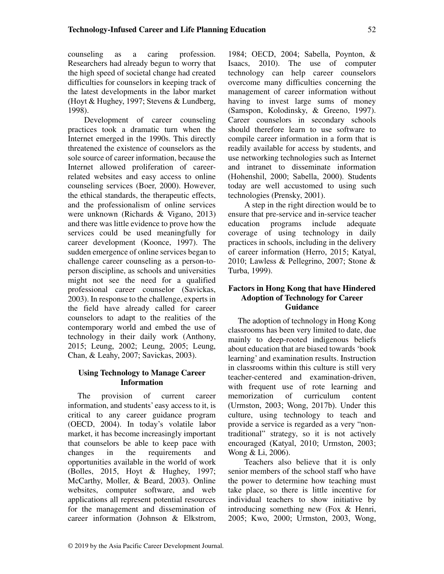counseling as a caring profession. Researchers had already begun to worry that the high speed of societal change had created difficulties for counselors in keeping track of the latest developments in the labor market (Hoyt & Hughey, 1997; Stevens & Lundberg, 1998).

Development of career counseling practices took a dramatic turn when the Internet emerged in the 1990s. This directly threatened the existence of counselors as the sole source of career information, because the Internet allowed proliferation of careerrelated websites and easy access to online counseling services (Boer, 2000). However, the ethical standards, the therapeutic effects, and the professionalism of online services were unknown (Richards & Vigano, 2013) and there was little evidence to prove how the services could be used meaningfully for career development (Koonce, 1997). The sudden emergence of online services began to challenge career counseling as a person-toperson discipline, as schools and universities might not see the need for a qualified professional career counselor (Savickas, 2003). In response to the challenge, experts in the field have already called for career counselors to adapt to the realities of the contemporary world and embed the use of technology in their daily work (Anthony, 2015; Leung, 2002; Leung, 2005; Leung, Chan, & Leahy, 2007; Savickas, 2003).

# **Using Technology to Manage Career Information**

The provision of current career information, and students' easy access to it, is critical to any career guidance program (OECD, 2004). In today's volatile labor market, it has become increasingly important that counselors be able to keep pace with changes in the requirements and opportunities available in the world of work (Bolles, 2015, Hoyt & Hughey, 1997; McCarthy, Moller, & Beard, 2003). Online websites, computer software, and web applications all represent potential resources for the management and dissemination of career information (Johnson & Elkstrom,

1984; OECD, 2004; Sabella, Poynton, & Isaacs, 2010). The use of computer technology can help career counselors overcome many difficulties concerning the management of career information without having to invest large sums of money (Samspon, Kolodinsky, & Greeno, 1997). Career counselors in secondary schools should therefore learn to use software to compile career information in a form that is readily available for access by students, and use networking technologies such as Internet and intranet to disseminate information (Hohenshil, 2000; Sabella, 2000). Students today are well accustomed to using such technologies (Prensky, 2001).

A step in the right direction would be to ensure that pre-service and in-service teacher education programs include adequate coverage of using technology in daily practices in schools, including in the delivery of career information (Herro, 2015; Katyal, 2010; Lawless & Pellegrino, 2007; Stone & Turba, 1999).

# **Factors in Hong Kong that have Hindered Adoption of Technology for Career Guidance**

The adoption of technology in Hong Kong classrooms has been very limited to date, due mainly to deep-rooted indigenous beliefs about education that are biased towards 'book learning' and examination results. Instruction in classrooms within this culture is still very teacher-centered and examination-driven, with frequent use of rote learning and memorization of curriculum content (Urmston, 2003; Wong, 2017b). Under this culture, using technology to teach and provide a service is regarded as a very "nontraditional" strategy, so it is not actively encouraged (Katyal, 2010; Urmston, 2003; Wong & Li, 2006).

Teachers also believe that it is only senior members of the school staff who have the power to determine how teaching must take place, so there is little incentive for individual teachers to show initiative by introducing something new (Fox & Henri, 2005; Kwo, 2000; Urmston, 2003, Wong,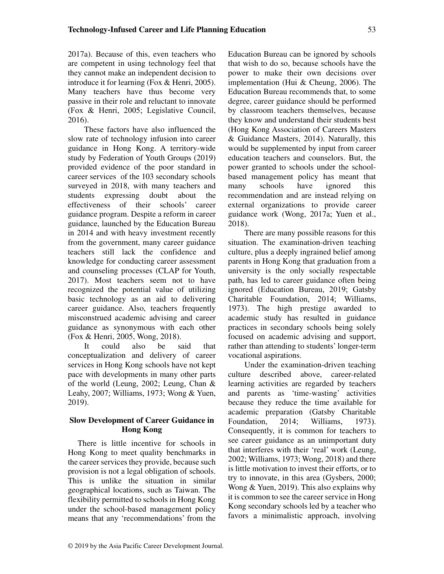2017a). Because of this, even teachers who are competent in using technology feel that they cannot make an independent decision to introduce it for learning (Fox & Henri, 2005). Many teachers have thus become very passive in their role and reluctant to innovate (Fox & Henri, 2005; Legislative Council, 2016).

These factors have also influenced the slow rate of technology infusion into career guidance in Hong Kong. A territory-wide study by Federation of Youth Groups (2019) provided evidence of the poor standard in career services of the 103 secondary schools surveyed in 2018, with many teachers and students expressing doubt about the effectiveness of their schools' career guidance program. Despite a reform in career guidance, launched by the Education Bureau in 2014 and with heavy investment recently from the government, many career guidance teachers still lack the confidence and knowledge for conducting career assessment and counseling processes (CLAP for Youth, 2017). Most teachers seem not to have recognized the potential value of utilizing basic technology as an aid to delivering career guidance. Also, teachers frequently misconstrued academic advising and career guidance as synonymous with each other (Fox & Henri, 2005, Wong, 2018).

It could also be said that conceptualization and delivery of career services in Hong Kong schools have not kept pace with developments in many other parts of the world (Leung, 2002; Leung, Chan & Leahy, 2007; Williams, 1973; Wong & Yuen, 2019).

# **Slow Development of Career Guidance in Hong Kong**

There is little incentive for schools in Hong Kong to meet quality benchmarks in the career services they provide, because such provision is not a legal obligation of schools. This is unlike the situation in similar geographical locations, such as Taiwan. The flexibility permitted to schools in Hong Kong under the school-based management policy means that any 'recommendations' from the

Education Bureau can be ignored by schools that wish to do so, because schools have the power to make their own decisions over implementation (Hui & Cheung, 2006). The Education Bureau recommends that, to some degree, career guidance should be performed by classroom teachers themselves, because they know and understand their students best (Hong Kong Association of Careers Masters & Guidance Masters, 2014). Naturally, this would be supplemented by input from career education teachers and counselors. But, the power granted to schools under the schoolbased management policy has meant that many schools have ignored this recommendation and are instead relying on external organizations to provide career guidance work (Wong, 2017a; Yuen et al., 2018).

There are many possible reasons for this situation. The examination-driven teaching culture, plus a deeply ingrained belief among parents in Hong Kong that graduation from a university is the only socially respectable path, has led to career guidance often being ignored (Education Bureau, 2019; Gatsby Charitable Foundation, 2014; Williams, 1973). The high prestige awarded to academic study has resulted in guidance practices in secondary schools being solely focused on academic advising and support, rather than attending to students' longer-term vocational aspirations.

Under the examination-driven teaching culture described above, career-related learning activities are regarded by teachers and parents as 'time-wasting' activities because they reduce the time available for academic preparation (Gatsby Charitable Foundation, 2014; Williams, 1973). Consequently, it is common for teachers to see career guidance as an unimportant duty that interferes with their 'real' work (Leung, 2002; Williams, 1973; Wong, 2018) and there is little motivation to invest their efforts, or to try to innovate, in this area (Gysbers, 2000; Wong & Yuen, 2019). This also explains why it is common to see the career service in Hong Kong secondary schools led by a teacher who favors a minimalistic approach, involving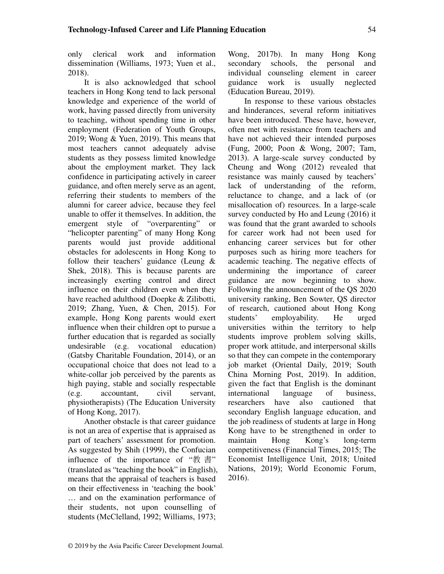only clerical work and information dissemination (Williams, 1973; Yuen et al., 2018).

It is also acknowledged that school teachers in Hong Kong tend to lack personal knowledge and experience of the world of work, having passed directly from university to teaching, without spending time in other employment (Federation of Youth Groups, 2019; Wong & Yuen, 2019). This means that most teachers cannot adequately advise students as they possess limited knowledge about the employment market. They lack confidence in participating actively in career guidance, and often merely serve as an agent, referring their students to members of the alumni for career advice, because they feel unable to offer it themselves. In addition, the emergent style of "overparenting" or "helicopter parenting" of many Hong Kong parents would just provide additional obstacles for adolescents in Hong Kong to follow their teachers' guidance (Leung & Shek, 2018). This is because parents are increasingly exerting control and direct influence on their children even when they have reached adulthood (Doepke & Zilibotti, 2019; Zhang, Yuen, & Chen, 2015). For example, Hong Kong parents would exert influence when their children opt to pursue a further education that is regarded as socially undesirable (e.g. vocational education) (Gatsby Charitable Foundation, 2014), or an occupational choice that does not lead to a white-collar job perceived by the parents as high paying, stable and socially respectable (e.g. accountant, civil servant, physiotherapists) (The Education University of Hong Kong, 2017).

Another obstacle is that career guidance is not an area of expertise that is appraised as part of teachers' assessment for promotion. As suggested by Shih (1999), the Confucian influence of the importance of "教 書" (translated as "teaching the book" in English), means that the appraisal of teachers is based on their effectiveness in 'teaching the book' … and on the examination performance of their students, not upon counselling of students (McClelland, 1992; Williams, 1973;

Wong, 2017b). In many Hong Kong secondary schools, the personal and individual counseling element in career guidance work is usually neglected (Education Bureau, 2019).

In response to these various obstacles and hinderances, several reform initiatives have been introduced. These have, however, often met with resistance from teachers and have not achieved their intended purposes (Fung, 2000; Poon & Wong, 2007; Tam, 2013). A large-scale survey conducted by Cheung and Wong (2012) revealed that resistance was mainly caused by teachers' lack of understanding of the reform, reluctance to change, and a lack of (or misallocation of) resources. In a large-scale survey conducted by Ho and Leung (2016) it was found that the grant awarded to schools for career work had not been used for enhancing career services but for other purposes such as hiring more teachers for academic teaching. The negative effects of undermining the importance of career guidance are now beginning to show. Following the announcement of the QS 2020 university ranking, Ben Sowter, QS director of research, cautioned about Hong Kong students' employability. He urged universities within the territory to help students improve problem solving skills, proper work attitude, and interpersonal skills so that they can compete in the contemporary job market (Oriental Daily, 2019; South China Morning Post, 2019). In addition, given the fact that English is the dominant international language of business, researchers have also cautioned that secondary English language education, and the job readiness of students at large in Hong Kong have to be strengthened in order to maintain Hong Kong's long-term competitiveness (Financial Times, 2015; The Economist Intelligence Unit, 2018; United Nations, 2019); World Economic Forum, 2016).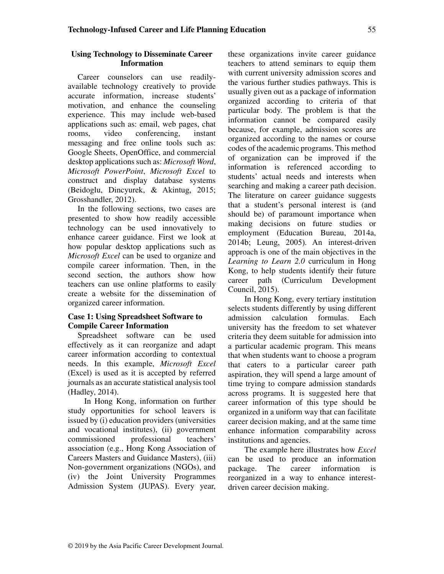# **Using Technology to Disseminate Career Information**

Career counselors can use readilyavailable technology creatively to provide accurate information, increase students' motivation, and enhance the counseling experience. This may include web-based applications such as: email, web pages, chat rooms, video conferencing, instant messaging and free online tools such as: Google Sheets, OpenOffice, and commercial desktop applications such as: *Microsoft Word*, *Microsoft PowerPoint*, *Microsoft Excel* to construct and display database systems (Beidoglu, Dincyurek, & Akintug, 2015; Grosshandler, 2012).

In the following sections, two cases are presented to show how readily accessible technology can be used innovatively to enhance career guidance. First we look at how popular desktop applications such as *Microsoft Excel* can be used to organize and compile career information. Then, in the second section, the authors show how teachers can use online platforms to easily create a website for the dissemination of organized career information.

# **Case 1: Using Spreadsheet Software to Compile Career Information**

Spreadsheet software can be used effectively as it can reorganize and adapt career information according to contextual needs. In this example, *Microsoft Excel* (Excel) is used as it is accepted by referred journals as an accurate statistical analysis tool (Hadley, 2014).

In Hong Kong, information on further study opportunities for school leavers is issued by (i) education providers (universities and vocational institutes), (ii) government commissioned professional teachers' association (e.g., Hong Kong Association of Careers Masters and Guidance Masters), (iii) Non-government organizations (NGOs), and (iv) the Joint University Programmes Admission System (JUPAS). Every year,

these organizations invite career guidance teachers to attend seminars to equip them with current university admission scores and the various further studies pathways. This is usually given out as a package of information organized according to criteria of that particular body. The problem is that the information cannot be compared easily because, for example, admission scores are organized according to the names or course codes of the academic programs. This method of organization can be improved if the information is referenced according to students' actual needs and interests when searching and making a career path decision. The literature on career guidance suggests that a student's personal interest is (and should be) of paramount importance when making decisions on future studies or employment (Education Bureau, 2014a, 2014b; Leung, 2005). An interest-driven approach is one of the main objectives in the *Learning to Learn 2.0* curriculum in Hong Kong, to help students identify their future career path (Curriculum Development Council, 2015).

In Hong Kong, every tertiary institution selects students differently by using different admission calculation formulas. Each university has the freedom to set whatever criteria they deem suitable for admission into a particular academic program. This means that when students want to choose a program that caters to a particular career path aspiration, they will spend a large amount of time trying to compare admission standards across programs. It is suggested here that career information of this type should be organized in a uniform way that can facilitate career decision making, and at the same time enhance information comparability across institutions and agencies.

The example here illustrates how *Excel*  can be used to produce an information package. The career information is reorganized in a way to enhance interestdriven career decision making.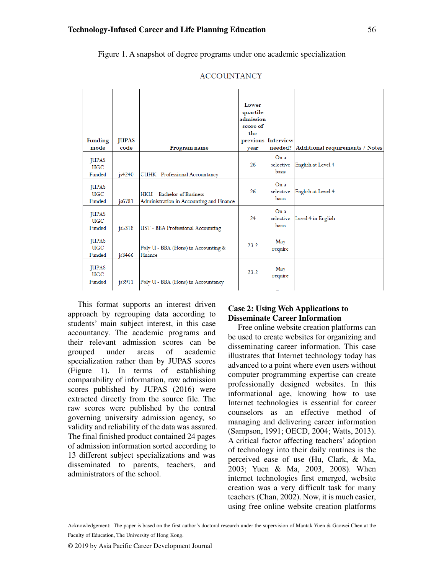Figure 1. A snapshot of degree programs under one academic specialization

| <b>JUPAS</b><br>code | Program name                                                                  | Lower<br>quartile<br>admission<br>score of<br>the<br>vear | needed?                           | Additional requirements / Notes |
|----------------------|-------------------------------------------------------------------------------|-----------------------------------------------------------|-----------------------------------|---------------------------------|
| $i$ s4240            | <b>CUHK</b> - Professional Accountancy                                        | 26                                                        | On a<br>selective<br>basis        | English at Level 4              |
| js6781               | <b>HKU</b> - Bachelor of Business<br>Administration in Accounting and Finance | 26                                                        | On a<br>selective<br><b>basis</b> | English at Level 4.             |
| is 5318              | <b>UST</b> - BBA Professional Accounting                                      | 24                                                        | On a<br>selective<br>basis        | Level 4 in English              |
| is <sub>3466</sub>   | Poly U - BBA (Hons) in Accounting &<br>Finance                                | 23.2                                                      | May<br>require                    |                                 |
| js3911               | Poly U - BBA (Hons) in Accountancy                                            | 23.2                                                      | May<br>require                    |                                 |
|                      |                                                                               |                                                           |                                   | previous Interview              |

#### **ACCOUNTANCY**

This format supports an interest driven approach by regrouping data according to students' main subject interest, in this case accountancy. The academic programs and their relevant admission scores can be grouped under areas of academic specialization rather than by JUPAS scores (Figure 1). In terms of establishing comparability of information, raw admission scores published by JUPAS (2016) were extracted directly from the source file. The raw scores were published by the central governing university admission agency, so validity and reliability of the data was assured. The final finished product contained 24 pages of admission information sorted according to 13 different subject specializations and was disseminated to parents, teachers, and administrators of the school.

### **Case 2: Using Web Applications to Disseminate Career Information**

Free online website creation platforms can be used to create websites for organizing and disseminating career information. This case illustrates that Internet technology today has advanced to a point where even users without computer programming expertise can create professionally designed websites. In this informational age, knowing how to use Internet technologies is essential for career counselors as an effective method of managing and delivering career information (Sampson, 1991; OECD, 2004; Watts, 2013). A critical factor affecting teachers' adoption of technology into their daily routines is the perceived ease of use (Hu, Clark, & Ma, 2003; Yuen & Ma, 2003, 2008). When internet technologies first emerged, website creation was a very difficult task for many teachers (Chan, 2002). Now, it is much easier, using free online website creation platforms

Acknowledgement: The paper is based on the first author's doctoral research under the supervision of Mantak Yuen & Gaowei Chen at the Faculty of Education, The University of Hong Kong.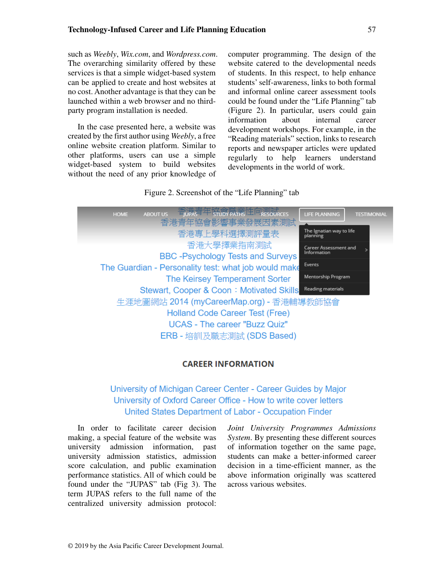such as *Weebly*, *Wix.com*, and *Wordpress.com*. The overarching similarity offered by these services is that a simple widget-based system can be applied to create and host websites at no cost. Another advantage is that they can be launched within a web browser and no thirdparty program installation is needed.

In the case presented here, a website was created by the first author using *Weebly*, a free online website creation platform. Similar to other platforms, users can use a simple widget-based system to build websites without the need of any prior knowledge of computer programming. The design of the website catered to the developmental needs of students. In this respect, to help enhance students' self-awareness, links to both formal and informal online career assessment tools could be found under the "Life Planning" tab (Figure 2). In particular, users could gain information about internal career development workshops. For example, in the "Reading materials" section, links to research reports and newspaper articles were updated regularly to help learners understand developments in the world of work.

# Figure 2. Screenshot of the "Life Planning" tab



# **CAREER INFORMATION**

University of Michigan Career Center - Career Guides by Major University of Oxford Career Office - How to write cover letters United States Department of Labor - Occupation Finder

In order to facilitate career decision making, a special feature of the website was university admission information, past university admission statistics, admission score calculation, and public examination performance statistics. All of which could be found under the "JUPAS" tab (Fig 3). The term JUPAS refers to the full name of the centralized university admission protocol:

*Joint University Programmes Admissions System*. By presenting these different sources of information together on the same page, students can make a better-informed career decision in a time-efficient manner, as the above information originally was scattered across various websites.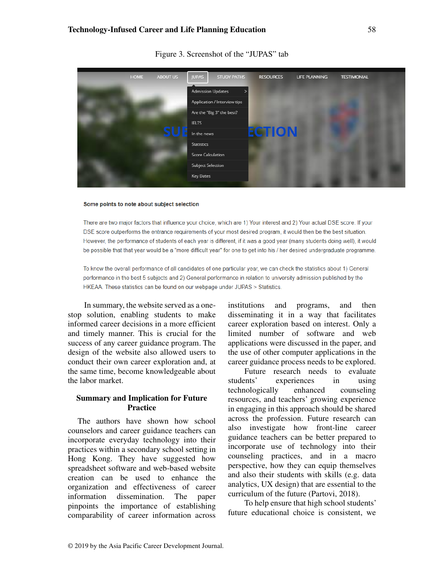

Figure 3. Screenshot of the "JUPAS" tab

#### Some points to note about subject selection

There are two major factors that influence your choice, which are 1) Your interest and 2) Your actual DSE score. If your DSE score outperforms the entrance requirements of your most desired program, it would then be the best situation. However, the performance of students of each year is different, if it was a good year (many students doing well), it would be possible that that year would be a "more difficult year" for one to get into his / her desired undergraduate programme.

To know the overall performance of all candidates of one particular year, we can check the statistics about 1) General performance in the best 5 subjects and 2) General performance in relation to university admission published by the HKEAA. These statistics can be found on our webpage under JUPAS > Statistics.

In summary, the website served as a onestop solution, enabling students to make informed career decisions in a more efficient and timely manner. This is crucial for the success of any career guidance program. The design of the website also allowed users to conduct their own career exploration and, at the same time, become knowledgeable about the labor market.

### **Summary and Implication for Future Practice**

The authors have shown how school counselors and career guidance teachers can incorporate everyday technology into their practices within a secondary school setting in Hong Kong. They have suggested how spreadsheet software and web-based website creation can be used to enhance the organization and effectiveness of career information dissemination. The paper pinpoints the importance of establishing comparability of career information across

institutions and programs, and then disseminating it in a way that facilitates career exploration based on interest. Only a limited number of software and web applications were discussed in the paper, and the use of other computer applications in the career guidance process needs to be explored.

Future research needs to evaluate students' experiences in using technologically enhanced counseling resources, and teachers' growing experience in engaging in this approach should be shared across the profession. Future research can also investigate how front-line career guidance teachers can be better prepared to incorporate use of technology into their counseling practices, and in a macro perspective, how they can equip themselves and also their students with skills (e.g. data analytics, UX design) that are essential to the curriculum of the future (Partovi, 2018).

To help ensure that high school students' future educational choice is consistent, we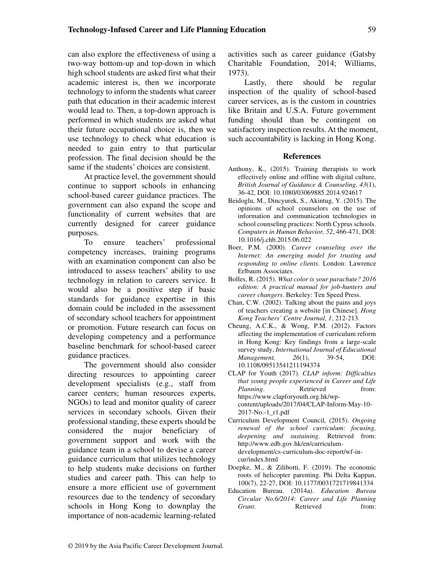can also explore the effectiveness of using a two-way bottom-up and top-down in which high school students are asked first what their academic interest is, then we incorporate technology to inform the students what career path that education in their academic interest would lead to. Then, a top-down approach is performed in which students are asked what their future occupational choice is, then we use technology to check what education is needed to gain entry to that particular profession. The final decision should be the same if the students' choices are consistent.

At practice level, the government should continue to support schools in enhancing school-based career guidance practices. The government can also expand the scope and functionality of current websites that are currently designed for career guidance purposes.

To ensure teachers' professional competency increases, training programs with an examination component can also be introduced to assess teachers' ability to use technology in relation to careers service. It would also be a positive step if basic standards for guidance expertise in this domain could be included in the assessment of secondary school teachers for appointment or promotion. Future research can focus on developing competency and a performance baseline benchmark for school-based career guidance practices.

The government should also consider directing resources to appointing career development specialists (e.g., staff from career centers; human resources experts, NGOs) to lead and monitor quality of career services in secondary schools. Given their professional standing, these experts should be considered the major beneficiary of government support and work with the guidance team in a school to devise a career guidance curriculum that utilizes technology to help students make decisions on further studies and career path. This can help to ensure a more efficient use of government resources due to the tendency of secondary schools in Hong Kong to downplay the importance of non-academic learning-related activities such as career guidance (Gatsby Charitable Foundation, 2014; Williams, 1973).

Lastly, there should be regular inspection of the quality of school-based career services, as is the custom in countries like Britain and U.S.A. Future government funding should than be contingent on satisfactory inspection results. At the moment, such accountability is lacking in Hong Kong.

#### **References**

- Anthony, K., (2015). Training therapists to work effectively online and offline with digital culture, *British Journal of Guidance & Counseling, 43*(1), 36-42, DOI: 10.1080/03069885.2014.924617
- Beidoglu, M., Dincyurek, S., Akintug, Y. (2015). The opinions of school counselors on the use of information and communication technologies in school counseling practices: North Cyprus schools. *Computers in Human Behavior, 52*, 466-471, DOI: 10.1016/j.chb.2015.06.022
- Boer, P.M. (2000). *Career counseling over the Internet: An emerging model for trusting and responding to online clients*. London: Lawrence Erlbaum Associates.
- Bolles, R. (2015). *What color is your parachute? 2016 edition: A practical manual for job-hunters and career changers*. Berkeley: Ten Speed Press.
- Chan, C.W. (2002). Talking about the pains and joys of teachers creating a website [in Chinese]. *Hong Kong Teachers' Centre Journal, 1*, 212-213.
- Cheung, A.C.K., & Wong, P.M. (2012). Factors affecting the implementation of curriculum reform in Hong Kong: Key findings from a large-scale survey study, *International Journal of Educational Management, 26*(1), 39-54, DOI: 10.1108/09513541211194374
- CLAP for Youth (2017). *CLAP inform: Difficulties that young people experienced in Career and Life Planning.* Retrieved from: https://www.clapforyouth.org.hk/wpcontent/uploads/2017/04/CLAP-Inform-May-10- 2017-No.-1\_r1.pdf
- Curriculum Development Council, (2015). *Ongoing renewal of the school curriculum: focusing, deepening and sustaining*. Retrieved from: http://www.edb.gov.hk/en/curriculumdevelopment/cs-curriculum-doc-report/wf-incur/index.html
- Doepke, M., & Zilibotti, F. (2019). The economic roots of helicopter parenting. Phi Delta Kappan, 100(7), 22-27, DOI: 10.1177/0031721719841334
- Education Bureau. (2014a). *Education Bureau Circular No.6/2014: Career and Life Planning Grant.* Retrieved from: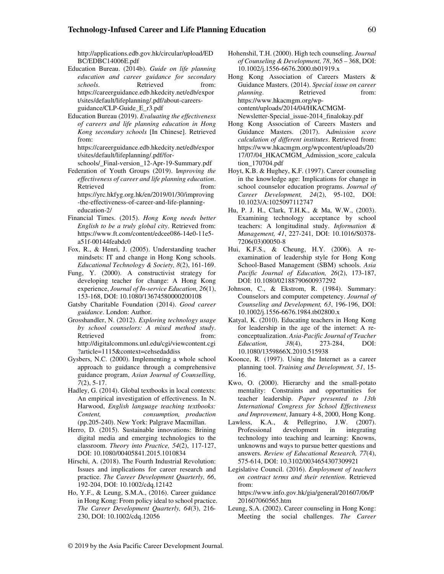#### **Technology-Infused Career and Life Planning Education** 60

http://applications.edb.gov.hk/circular/upload/ED BC/EDBC14006E.pdf

- Education Bureau. (2014b). *Guide on life planning education and career guidance for secondary schools*. Retrieved from: https://careerguidance.edb.hkedcity.net/edb/expor t/sites/default/lifeplanning/.pdf/about-careersguidance/CLP-Guide\_E\_r3.pdf
- Education Bureau (2019). *Evaluating the effectiveness of careers and life planning education in Hong Kong secondary schools* [In Chinese]. Retrieved from:

https://careerguidance.edb.hkedcity.net/edb/expor t/sites/default/lifeplanning/.pdf/for-

schools/\_Final-version\_12-Apr-19-Summary.pdf

- Federation of Youth Groups (2019). I*mproving the effectiveness of career and life planning education*. Retrieved from: https://yrc.hkfyg.org.hk/en/2019/01/30/improving -the-effectiveness-of-career-and-life-planningeducation-2/
- Financial Times. (2015). *Hong Kong needs better English to be a truly global city*. Retrieved from: https://www.ft.com/content/edcee086-14e0-11e5 a51f-00144feabdc0
- Fox, R., & Henri, J. (2005). Understanding teacher mindsets: IT and change in Hong Kong schools. *Educational Technology & Society, 8*(2), 161-169.
- Fung, Y. (2000). A constructivist strategy for developing teacher for change: A Hong Kong experience, *Journal of In-service Education, 26*(1), 153-168, DOI: 10.1080/13674580000200108
- Gatsby Charitable Foundation (2014). *Good career guidance*. London: Author.
- Grosshandler, N. (2012). *Exploring technology usage by school counselors: A mixed method study*. Retrieved from: http://digitalcommons.unl.edu/cgi/viewcontent.cgi ?article=1115&context=cehsedaddiss
- Gysbers, N.C. (2000). Implementing a whole school approach to guidance through a comprehensive guidance program, *Asian Journal of Counselling, 7*(2), 5-17.
- Hadley, G. (2014). Global textbooks in local contexts: An empirical investigation of effectiveness. In N. Harwood, *English language teaching textbooks: Content, consumption, production* (pp.205-240). New York: Palgrave Macmillan.
- Herro, D. (2015). Sustainable innovations: Brining digital media and emerging technologies to the classroom. *Theory into Practice, 54*(2), 117-127, DOI: 10.1080/00405841.2015.1010834
- Hirschi, A. (2018). The Fourth Industrial Revolution: Issues and implications for career research and practice. *The Career Development Quarterly, 66*, 192-204, DOI: 10.1002/cdq.12142
- Ho, Y.F., & Leung, S.M.A., (2016). Career guidance in Hong Kong: From policy ideal to school practice. *The Career Development Quarterly, 64*(3), 216- 230, DOI: 10.1002/cdq.12056
- Hohenshil, T.H. (2000). High tech counseling. *Journal of Counseling & Development, 78*, 365 – 368, DOI: 10.1002/j.1556-6676.2000.tb01919.x
- Hong Kong Association of Careers Masters & Guidance Masters. (2014). *Special issue on career planning*. Retrieved from: https://www.hkacmgm.org/wpcontent/uploads/2014/04/HKACMGM-Newsletter-Special\_issue-2014\_finalokay.pdf
- Hong Kong Association of Careers Masters and Guidance Masters. (2017). A*dmission score calculation of different institutes*. Retrieved from: https://www.hkacmgm.org/wpcontent/uploads/20 17/07/04\_HKACMGM\_Admission\_score\_calcula tion\_170704.pdf
- Hoyt, K.B. & Hughey, K.F. (1997). Career counseling in the knowledge age: Implications for change in school counselor education programs. *Journal of Career Development, 24*(2), 95-102, DOI: 10.1023/A:1025097112747
- Hu, P. J. H., Clark, T.H.K., & Ma, W.W., (2003). Examining technology acceptance by school teachers: A longitudinal study. *Information & Management, 41*, 227-241, DOI: 10.1016/S0378- 7206(03)00050-8
- Hui, K.F.S., & Cheung, H.Y. (2006). A reexamination of leadership style for Hong Kong School-Based Management (SBM) schools. *Asia Pacific Journal of Education, 26*(2), 173-187, DOI: 10.1080/02188790600937292
- Johnson, C., & Ekstrom, R. (1984). Summary: Counselors and computer competency. *Journal of Counseling and Development, 63*, 196-196, DOI: 10.1002/j.1556-6676.1984.tb02800.x
- Katyal, K. (2010). Educating teachers in Hong Kong for leadership in the age of the internet: A reconceptualization. *Asia-Pacific Journal of Teacher Education, 38*(4), 273-284, DOI: 10.1080/1359866X.2010.515938
- Koonce, R. (1997). Using the Internet as a career planning tool. *Training and Development, 51*, 15- 16.
- Kwo, O. (2000). Hierarchy and the small-potato mentality: Constraints and opportunities for teacher leadership. *Paper presented to 13th International Congress for School Effectiveness and Improvement*, January 4-8, 2000, Hong Kong.
- Lawless, K.A., & Pellegrino, J.W. (2007). Professional development in integrating technology into teaching and learning: Knowns, unknowns and ways to pursue better questions and answers. *Review of Educational Research, 77*(4), 575-614, DOI: 10.3102/0034654307309921
- Legislative Council. (2016). *Employment of teachers on contract terms and their retention*. Retrieved from:

https://www.info.gov.hk/gia/general/201607/06/P 201607060565.htm

Leung, S.A. (2002). Career counseling in Hong Kong: Meeting the social challenges. *The Career*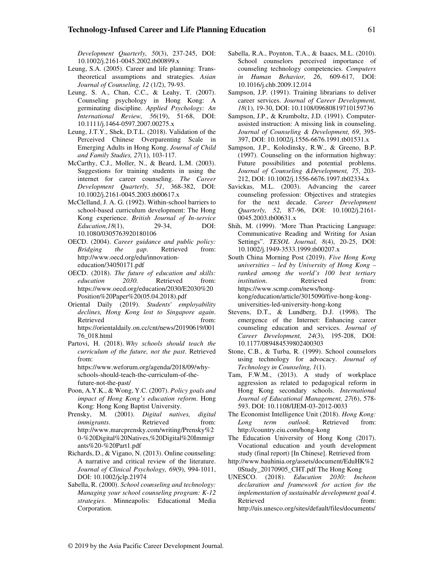*Development Quarterly, 50*(3), 237-245, DOI: 10.1002/j.2161-0045.2002.tb00899.x

- Leung, S.A. (2005). Career and life planning: Transtheoretical assumptions and strategies. *Asian Journal of Counseling, 12* (1/2), 79-93.
- Leung, S. A., Chan, C.C., & Leahy, T. (2007). Counseling psychology in Hong Kong: A germinating discipline. *Applied Psychology: An International Review, 56*(19), 51-68, DOI: 10.1111/j.1464-0597.2007.00275.x
- Leung, J.T.Y., Shek, D.T.L. (2018). Validation of the Perceived Chinese Overparenting Scale in Emerging Adults in Hong Kong. *Journal of Child and Family Studies, 27*(1), 103-117.
- McCarthy, C.J., Moller, N., & Beard, L.M. (2003). Suggestions for training students in using the internet for career counseling. *The Career Development Quarterly, 51*, 368-382, DOI: 10.1002/j.2161-0045.2003.tb00617.x
- McClelland, J. A. G. (1992). Within-school barriers to school-based curriculum development: The Hong Kong experience. *British Journal of In-service Education,18*(1), 29-34, DOI: 10.1080/0305763920180106
- OECD. (2004). *Career guidance and public policy: Bridging the gap*. Retrieved from: http://www.oecd.org/edu/innovationeducation/34050171.pdf
- OECD. (2018). *The future of education and skills: education 2030*. Retrieved from: https://www.oecd.org/education/2030/E2030%20 Position%20Paper%20(05.04.2018).pdf
- Oriental Daily (2019). *Students' employability declines, Hong Kong lost to Singapore again*. Retrieved from: https://orientaldaily.on.cc/cnt/news/20190619/001 76\_018.html
- Partovi, H. (2018). *Why schools should teach the curriculum of the future, not the past*. Retrieved from:
	- https://www.weforum.org/agenda/2018/09/whyschools-should-teach-the-curriculum-of-thefuture-not-the-past/
- Poon, A.Y.K., & Wong, Y.C. (2007). *Policy goals and impact of Hong Kong's education reform*. Hong Kong: Hong Kong Baptist University.
- Prensky, M. (2001). *Digital natives, digital immigrants*. Retrieved from: http://www.marcprensky.com/writing/Prensky%2 0-%20Digital%20Natives,%20Digital%20Immigr ants%20-%20Part1.pdf
- Richards, D., & Vigano, N. (2013). Online counseling: A narrative and critical review of the literature. *Journal of Clinical Psychology, 69*(9), 994-1011, DOI: 10.1002/jclp.21974
- Sabella, R. (2000). *School counseling and technology: Managing your school counseling program: K-12 strategies*. Minneapolis: Educational Media Corporation.
- Sabella, R.A., Poynton, T.A., & Isaacs, M.L. (2010). School counselors perceived importance of counseling technology competencies. *Computers in Human Behavior, 26*, 609-617, DOI: 10.1016/j.chb.2009.12.014
- Sampson, J.P. (1991). Training librarians to deliver career services. *Journal of Career Development, 18*(1), 19-30, DOI: 10.1108/09680819710159736
- Sampson, J.P., & Krumboltz, J.D. (1991). Computerassisted instruction: A missing link in counseling. *Journal of Counseling & Development, 69*, 395- 397, DOI: 10.1002/j.1556-6676.1991.tb01531.x
- Sampson, J.P., Kolodinsky, R.W., & Greeno, B.P. (1997). Counseling on the information highway: Future possibilities and potential problems. *Journal of Counseling &Development, 75*, 203- 212, DOI: 10.1002/j.1556-6676.1997.tb02334.x
- Savickas, M.L. (2003). Advancing the career counseling profession: Objectives and strategies for the next decade. *Career Development Quarterly, 52*, 87-96, DOI: 10.1002/j.2161- 0045.2003.tb00631.x
- Shih, M. (1999). 'More Than Practicing Language: Communicative Reading and Writing for Asian Settings". *TESOL Journal, 8*(4), 20-25, DOI: 10.1002/j.1949-3533.1999.tb00207.x
- South China Morning Post (2019). *Five Hong Kong universities – led by University of Hong Kong – ranked among the world's 100 best tertiary institution*. Retrieved from: https://www.scmp.com/news/hongkong/education/article/3015090/five-hong-konguniversities-led-university-hong-kong
- Stevens, D.T., & Lundberg, D.J. (1998). The emergence of the Internet: Enhancing career counseling education and services. *Journal of Career Development, 24*(3), 195-208, DOI: 10.1177/089484539802400303
- Stone, C.B., & Turba, R. (1999). School counselors using technology for advocacy. *Journal of Technology in Counseling, 1*(1).
- Tam, F.W.M., (2013). A study of workplace aggression as related to pedagogical reform in Hong Kong secondary schools. *International Journal of Educational Management, 27*(6), 578- 593. DOI: 10.1108/IJEM-03-2012-0033
- The Economist Intelligence Unit (2018). *Hong Kong: Long term outlook*. Retrieved from: http://country.eiu.com/hong-kong
- The Education University of Hong Kong (2017). Vocational education and youth development study (final report) [In Chinese]. Retrieved from
- http://www.bauhinia.org/assets/document/EduHK%2 0Study\_20170905\_CHT.pdf The Hong Kong
- UNESCO. (2018). *Education 2030: Incheon declaration and framework for action for the implementation of sustainable development goal 4*. Retrieved from: http://uis.unesco.org/sites/default/files/documents/
- © 2019 by the Asia Pacific Career Development Journal.